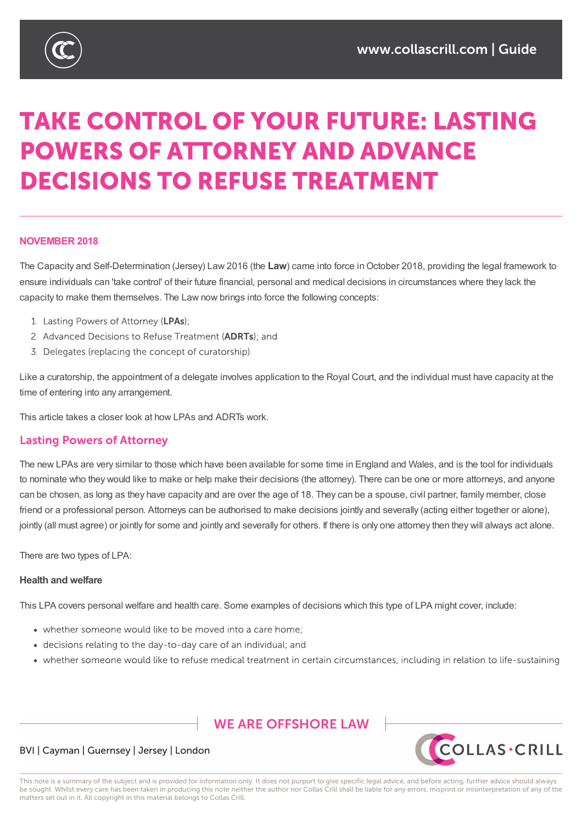

# **TAKE CONTROL OF YOUR FUTURE: LASTING POWERS OF ATTORNEY AND ADVANCE DECISIONS TO REFUSE TREATMENT**

# **NOVEMBER 2018**

The Capacity and Self-Determination (Jersey) Law 2016 (the **Law**) came into force inOctober 2018, providing the legal framework to ensure individuals can 'take control' of their future financial, personal and medical decisions in circumstances where they lack the capacity to make them themselves. The Law now brings into force the following concepts:

- 1. Lasting Powers of Attorney (LPAs);
- 2. Advanced Decisions to Refuse Treatment (ADRTs); and
- 3. Delegates (replacing the concept of curatorship).

Like a curatorship, the appointment of a delegate involves application to the Royal Court, and the individual must have capacity at the time of entering into any arrangement.

This article takes a closer look at how LPAs and ADRTs work.

# **Lasting Powers of Attorney**

The new LPAs are very similar to those which have been available for some time in England and Wales, and is the tool for individuals to nominate who they would like to make or help make their decisions (the attorney). There can be one or more attorneys, and anyone can be chosen, as long as they have capacity and are over the age of 18. They can be a spouse, civil partner, family member, close friend or a professional person. Attorneys can be authorised to make decisions jointly and severally (acting either together or alone), jointly (all must agree) or jointly for some and jointly and severally for others. If there is only one attorney then they will always act alone.

There are two types of LPA:

### **Health and welfare**

This LPA covers personal welfare and health care. Some examples of decisions which this type of LPA might cover, include:

- whether someone would like to be moved into a care home:
- decisions relating to the day-to-day care of an individual; and
- whether someone would like to refuse medical treatment in certain circumstances, including in relation to life-sustaining

# **WE ARE OFFSHORE LAW**



# BVI | Cayman | Guernsey | Jersey | London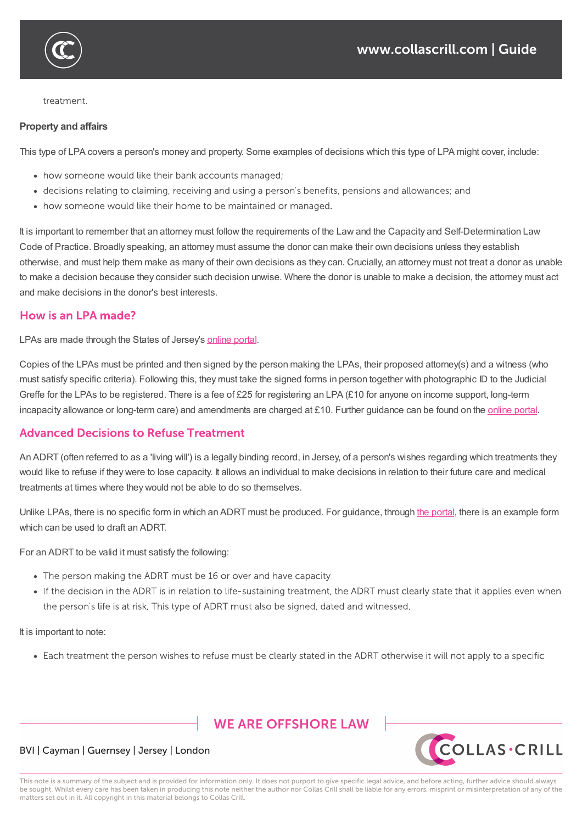

#### treatment.

#### **Property and affairs**

This type of LPA covers a person's money and property. Some examples of decisions which this type of LPA might cover, include:

- how someone would like their bank accounts managed;
- decisions relating to claiming, receiving and using a person's benefits, pensions and allowances; and
- how someone would like their home to be maintained or managed.

It is important to remember that an attorney must follow the requirements of the Law and the Capacity and Self-Determination Law Code of Practice. Broadly speaking, an attorney must assume the donor can make their own decisions unless they establish otherwise, and must help them make as many of their own decisions as they can. Crucially, an attorney must not treat a donor as unable to make a decision because they consider such decision unwise. Where the donor is unable to make a decision, the attorney must act and make decisions in the donor's best interests.

# How is an LPA made?

LPAs are made through the States of Jersey's online portal.

Copies of the LPAs must be printed and then signed by the person making the LPAs, their proposed attorney(s) and a witness (who must satisfy specific criteria). Following this, they must take the signed forms in person together with photographic ID to the Judicial Greffe for the LPAs to be registered. There is a fee of [£25](https://www.gov.je/Caring/Capacity/pages/lastingpowerofattorney.aspx) for registering an LPA (£10 for anyone on income support, long-term incapacity allowance or long-term care) and amendments are charged at £10. Further guidance can be found on the online portal.

# **Advanced Decisions to Refuse Treatment**

An ADRT (often referred to as a 'living will') is a legally binding record, in Jersey, of a person's wishes regarding which [treatments](https://www.gov.je/Caring/Capacity/pages/lastingpowerofattorney.aspx) they would like to refuse if they were to lose capacity. It allows an individual to make decisions in relation to their future care and medical treatments at times where they would not be able to do so themselves.

Unlike LPAs, there is no specific form in which an ADRT must be produced. For guidance, through the portal, there is an example form which can be used to draft an ADRT.

For an ADRT to be valid it must satisfy the following:

- The person making the ADRT must be 16 or over and have capacity.
- If the decision in the ADRT is in relation to life-sustaining treatment, the ADRT must clearly state that it applies even when the person's life is at risk. This type of ADRT must also be signed, dated and witnessed.

It is important to note:

• Each treatment the person wishes to refuse must be clearly stated in the ADRT otherwise it will not apply to a specific

# **WE ARE OFFSHORE LAW**

# **COLLAS·CRILL**

# BVI | Cayman | Guernsey | Jersey | London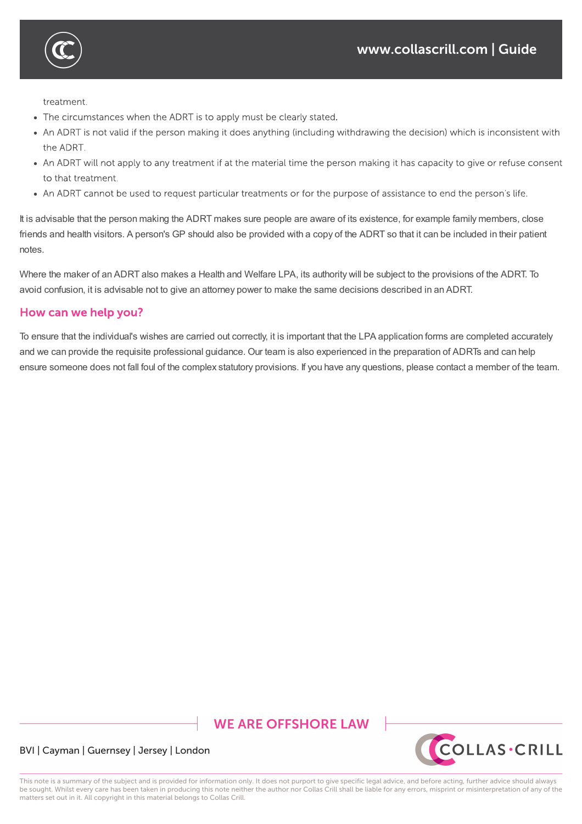

treatment.

- The circumstances when the ADRT is to apply must be clearly stated.
- An ADRT is not valid if the person making it does anything (including withdrawing the decision) which is inconsistent with the ADRT.
- An ADRT will not apply to any treatment if at the material time the person making it has capacity to give or refuse consent to that treatment.
- An ADRT cannot be used to request particular treatments or for the purpose of assistance to end the person's life.

It is advisable that the person making the ADRT makes sure people are aware of its existence, for example family members, close friends and health visitors. A person's GP should also be provided with a copy of the ADRT so that it can be included in their patient notes.

Where the maker of an ADRT also makes a Health and Welfare LPA, its authority will be subject to the provisions of the ADRT. To avoid confusion, it is advisable not to give an attorney power to make the same decisions described in an ADRT.

# How can we help you?

To ensure that the individual's wishes are carried out correctly, it is important that the LPA application forms are completed accurately and we can provide the requisite professional guidance. Our team is also experienced in the preparation of ADRTs and can help ensure someone does not fall foul of the complex statutory provisions. If you have any questions, please contact a member of the team.

# **WE ARE OFFSHORE LAW**



# BVI | Cayman | Guernsey | Jersey | London